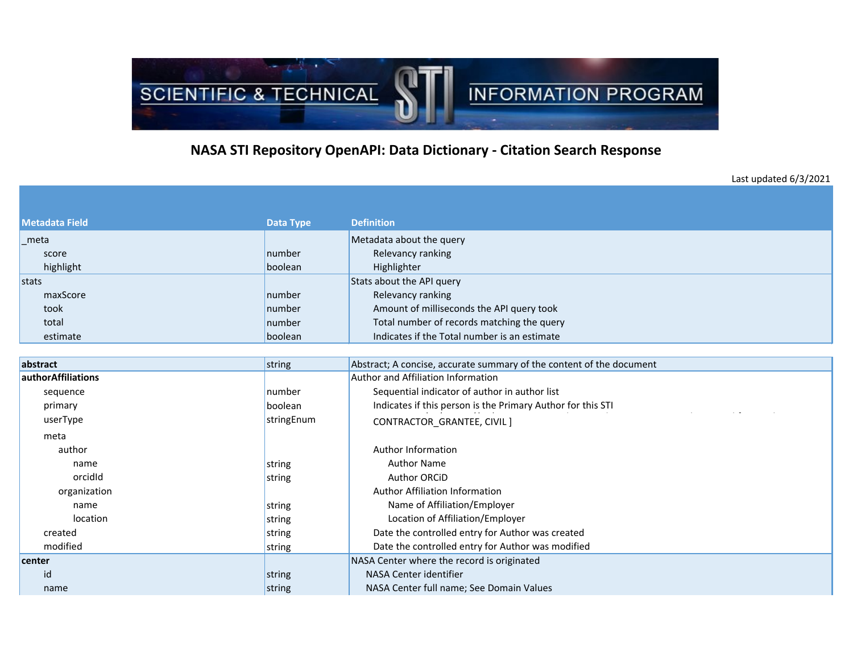

## **NASA STI Repository OpenAPI: Data Dictionary - Citation Search Response**

Last updated 6/3/2021

| Metadata Field | <b>Data Type</b> | <b>Definition</b>                            |
|----------------|------------------|----------------------------------------------|
| meta           |                  | Metadata about the query                     |
| score          | number           | Relevancy ranking                            |
| highlight      | boolean          | Highlighter                                  |
| stats          |                  | Stats about the API query                    |
| maxScore       | number           | Relevancy ranking                            |
| took           | number           | Amount of milliseconds the API query took    |
| total          | number           | Total number of records matching the query   |
| estimate       | boolean          | Indicates if the Total number is an estimate |

| abstract           | string     | Abstract; A concise, accurate summary of the content of the document |  |  |
|--------------------|------------|----------------------------------------------------------------------|--|--|
| authorAffiliations |            | Author and Affiliation Information                                   |  |  |
| sequence           | number     | Sequential indicator of author in author list                        |  |  |
| primary            | boolean    | Indicates if this person is the Primary Author for this STI          |  |  |
| userType           | stringEnum | CONTRACTOR_GRANTEE, CIVIL ]                                          |  |  |
| meta               |            |                                                                      |  |  |
| author             |            | Author Information                                                   |  |  |
| name               | string     | <b>Author Name</b>                                                   |  |  |
| orcidid            | string     | <b>Author ORCID</b>                                                  |  |  |
| organization       |            | <b>Author Affiliation Information</b>                                |  |  |
| name               | string     | Name of Affiliation/Employer                                         |  |  |
| location           | string     | Location of Affiliation/Employer                                     |  |  |
| created            | string     | Date the controlled entry for Author was created                     |  |  |
| modified           | string     | Date the controlled entry for Author was modified                    |  |  |
| center             |            | NASA Center where the record is originated                           |  |  |
| id                 | string     | NASA Center identifier                                               |  |  |
| name               | string     | NASA Center full name; See Domain Values                             |  |  |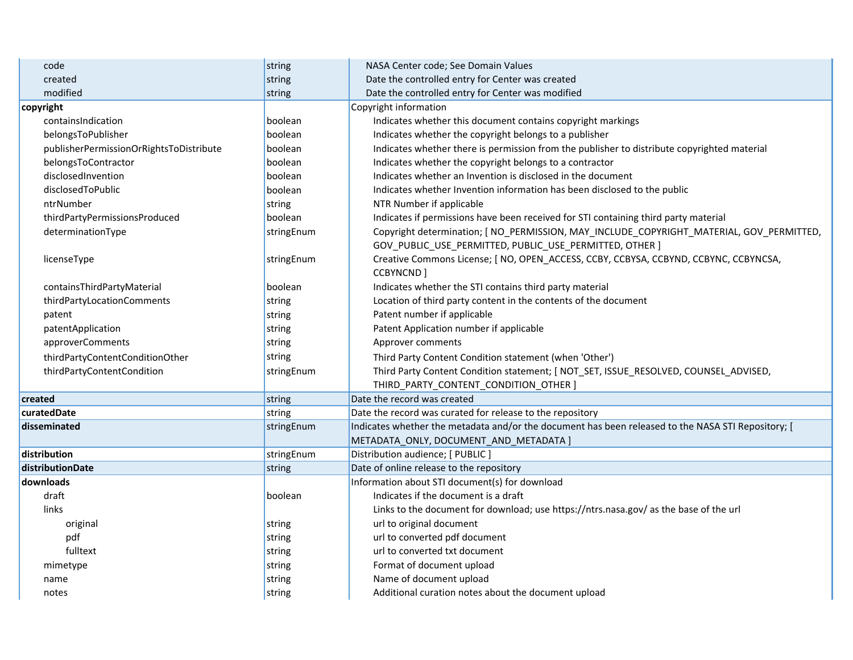| code                                    | string     | NASA Center code; See Domain Values                                                                |  |  |
|-----------------------------------------|------------|----------------------------------------------------------------------------------------------------|--|--|
| created                                 | string     | Date the controlled entry for Center was created                                                   |  |  |
| modified                                | string     | Date the controlled entry for Center was modified                                                  |  |  |
| copyright                               |            | Copyright information                                                                              |  |  |
| containsIndication                      | boolean    | Indicates whether this document contains copyright markings                                        |  |  |
| belongsToPublisher                      | boolean    | Indicates whether the copyright belongs to a publisher                                             |  |  |
| publisherPermissionOrRightsToDistribute | boolean    | Indicates whether there is permission from the publisher to distribute copyrighted material        |  |  |
| belongsToContractor                     | boolean    | Indicates whether the copyright belongs to a contractor                                            |  |  |
| disclosedInvention                      | boolean    | Indicates whether an Invention is disclosed in the document                                        |  |  |
| disclosedToPublic                       | boolean    | Indicates whether Invention information has been disclosed to the public                           |  |  |
| ntrNumber                               | string     | NTR Number if applicable                                                                           |  |  |
| thirdPartyPermissionsProduced           | boolean    | Indicates if permissions have been received for STI containing third party material                |  |  |
| determinationType                       | stringEnum | Copyright determination; [ NO_PERMISSION, MAY_INCLUDE_COPYRIGHT_MATERIAL, GOV_PERMITTED,           |  |  |
|                                         |            | GOV_PUBLIC_USE_PERMITTED, PUBLIC_USE_PERMITTED, OTHER ]                                            |  |  |
| licenseType                             | stringEnum | Creative Commons License; [ NO, OPEN ACCESS, CCBY, CCBYSA, CCBYND, CCBYNC, CCBYNCSA,               |  |  |
|                                         |            | CCBYNCND ]                                                                                         |  |  |
| containsThirdPartyMaterial              | boolean    | Indicates whether the STI contains third party material                                            |  |  |
| thirdPartyLocationComments              | string     | Location of third party content in the contents of the document                                    |  |  |
| patent                                  | string     | Patent number if applicable                                                                        |  |  |
| patentApplication                       | string     | Patent Application number if applicable                                                            |  |  |
| approverComments                        | string     | Approver comments                                                                                  |  |  |
| thirdPartyContentConditionOther         | string     | Third Party Content Condition statement (when 'Other')                                             |  |  |
| thirdPartyContentCondition              | stringEnum | Third Party Content Condition statement; [ NOT_SET, ISSUE_RESOLVED, COUNSEL_ADVISED,               |  |  |
|                                         |            | THIRD_PARTY_CONTENT_CONDITION_OTHER ]                                                              |  |  |
| created                                 | string     | Date the record was created                                                                        |  |  |
| curatedDate                             | string     | Date the record was curated for release to the repository                                          |  |  |
| disseminated                            | stringEnum | Indicates whether the metadata and/or the document has been released to the NASA STI Repository; [ |  |  |
|                                         |            | METADATA_ONLY, DOCUMENT_AND_METADATA ]                                                             |  |  |
| distribution                            | stringEnum | Distribution audience; [ PUBLIC ]                                                                  |  |  |
| distributionDate                        | string     | Date of online release to the repository                                                           |  |  |
| downloads                               |            | Information about STI document(s) for download                                                     |  |  |
| draft                                   | boolean    | Indicates if the document is a draft                                                               |  |  |
| links                                   |            | Links to the document for download; use https://ntrs.nasa.gov/ as the base of the url              |  |  |
| original                                | string     | url to original document                                                                           |  |  |
| pdf                                     | string     | url to converted pdf document                                                                      |  |  |
| fulltext                                | string     | url to converted txt document                                                                      |  |  |
| mimetype                                | string     | Format of document upload                                                                          |  |  |
| name                                    | string     | Name of document upload                                                                            |  |  |
| notes                                   | string     | Additional curation notes about the document upload                                                |  |  |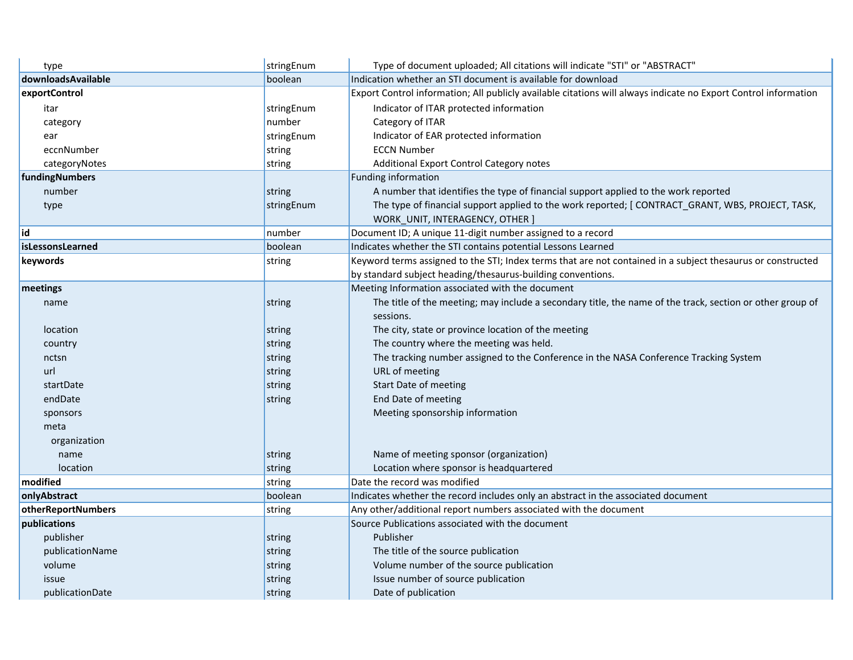| type               | stringEnum | Type of document uploaded; All citations will indicate "STI" or "ABSTRACT"                                      |  |  |
|--------------------|------------|-----------------------------------------------------------------------------------------------------------------|--|--|
| downloadsAvailable | boolean    | Indication whether an STI document is available for download                                                    |  |  |
| exportControl      |            | Export Control information; All publicly available citations will always indicate no Export Control information |  |  |
| itar               | stringEnum | Indicator of ITAR protected information                                                                         |  |  |
| category           | number     | Category of ITAR                                                                                                |  |  |
| ear                | stringEnum | Indicator of EAR protected information                                                                          |  |  |
| eccnNumber         | string     | <b>ECCN Number</b>                                                                                              |  |  |
| categoryNotes      | string     | Additional Export Control Category notes                                                                        |  |  |
| fundingNumbers     |            | Funding information                                                                                             |  |  |
| number             | string     | A number that identifies the type of financial support applied to the work reported                             |  |  |
| type               | stringEnum | The type of financial support applied to the work reported; [CONTRACT_GRANT, WBS, PROJECT, TASK,                |  |  |
|                    |            | WORK_UNIT, INTERAGENCY, OTHER ]                                                                                 |  |  |
| id                 | number     | Document ID; A unique 11-digit number assigned to a record                                                      |  |  |
| isLessonsLearned   | boolean    | Indicates whether the STI contains potential Lessons Learned                                                    |  |  |
| keywords           | string     | Keyword terms assigned to the STI; Index terms that are not contained in a subject thesaurus or constructed     |  |  |
|                    |            | by standard subject heading/thesaurus-building conventions.                                                     |  |  |
| meetings           |            | Meeting Information associated with the document                                                                |  |  |
| name               | string     | The title of the meeting; may include a secondary title, the name of the track, section or other group of       |  |  |
|                    |            | sessions.                                                                                                       |  |  |
| location           | string     | The city, state or province location of the meeting                                                             |  |  |
| country            | string     | The country where the meeting was held.                                                                         |  |  |
| nctsn              | string     | The tracking number assigned to the Conference in the NASA Conference Tracking System                           |  |  |
| url                | string     | URL of meeting                                                                                                  |  |  |
| startDate          | string     | Start Date of meeting                                                                                           |  |  |
| endDate            | string     | End Date of meeting                                                                                             |  |  |
| sponsors           |            | Meeting sponsorship information                                                                                 |  |  |
| meta               |            |                                                                                                                 |  |  |
| organization       |            |                                                                                                                 |  |  |
| name               | string     | Name of meeting sponsor (organization)                                                                          |  |  |
| location           | string     | Location where sponsor is headquartered                                                                         |  |  |
| modified           | string     | Date the record was modified                                                                                    |  |  |
| onlyAbstract       | boolean    | Indicates whether the record includes only an abstract in the associated document                               |  |  |
| otherReportNumbers | string     | Any other/additional report numbers associated with the document                                                |  |  |
| publications       |            | Source Publications associated with the document                                                                |  |  |
| publisher          | string     | Publisher                                                                                                       |  |  |
| publicationName    | string     | The title of the source publication                                                                             |  |  |
| volume             | string     | Volume number of the source publication                                                                         |  |  |
| issue              | string     | Issue number of source publication                                                                              |  |  |
| publicationDate    | string     | Date of publication                                                                                             |  |  |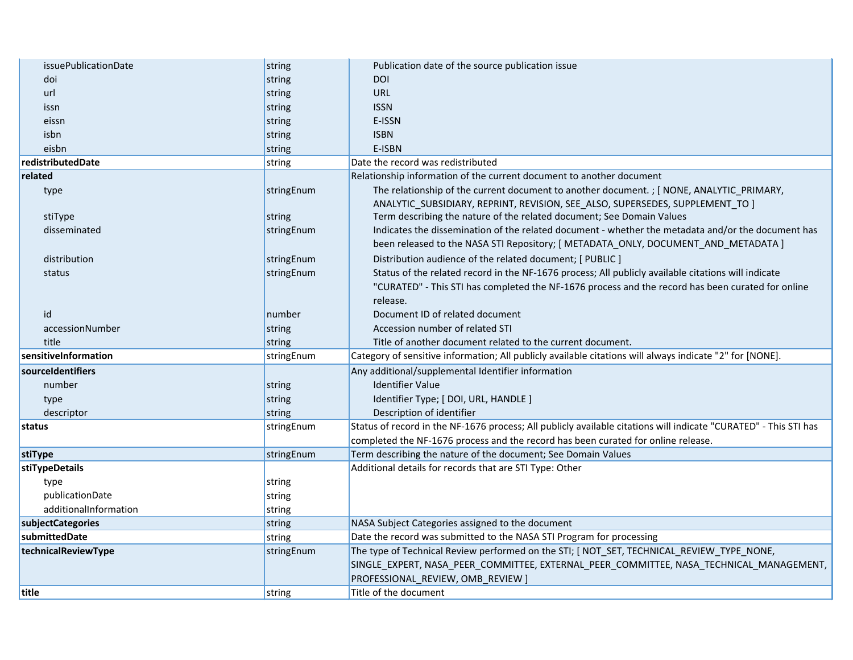| issuePublicationDate  | string     | Publication date of the source publication issue                                                                 |  |  |
|-----------------------|------------|------------------------------------------------------------------------------------------------------------------|--|--|
| doi                   | string     | <b>DOI</b>                                                                                                       |  |  |
| url                   | string     | <b>URL</b>                                                                                                       |  |  |
| issn                  | string     | <b>ISSN</b>                                                                                                      |  |  |
| eissn                 | string     | E-ISSN                                                                                                           |  |  |
| isbn                  | string     | <b>ISBN</b>                                                                                                      |  |  |
| eisbn                 | string     | E-ISBN                                                                                                           |  |  |
| redistributedDate     | string     | Date the record was redistributed                                                                                |  |  |
| related               |            | Relationship information of the current document to another document                                             |  |  |
| type                  | stringEnum | The relationship of the current document to another document. ; [ NONE, ANALYTIC_PRIMARY,                        |  |  |
|                       |            | ANALYTIC_SUBSIDIARY, REPRINT, REVISION, SEE_ALSO, SUPERSEDES, SUPPLEMENT_TO ]                                    |  |  |
| stiType               | string     | Term describing the nature of the related document; See Domain Values                                            |  |  |
| disseminated          | stringEnum | Indicates the dissemination of the related document - whether the metadata and/or the document has               |  |  |
|                       |            | been released to the NASA STI Repository; [ METADATA_ONLY, DOCUMENT_AND_METADATA ]                               |  |  |
| distribution          | stringEnum | Distribution audience of the related document; [ PUBLIC ]                                                        |  |  |
| status                | stringEnum | Status of the related record in the NF-1676 process; All publicly available citations will indicate              |  |  |
|                       |            | "CURATED" - This STI has completed the NF-1676 process and the record has been curated for online                |  |  |
|                       |            | release.                                                                                                         |  |  |
| id                    | number     | Document ID of related document                                                                                  |  |  |
| accessionNumber       | string     | Accession number of related STI                                                                                  |  |  |
| title                 | string     | Title of another document related to the current document.                                                       |  |  |
| sensitiveInformation  | stringEnum | Category of sensitive information; All publicly available citations will always indicate "2" for [NONE].         |  |  |
| sourceIdentifiers     |            | Any additional/supplemental Identifier information                                                               |  |  |
| number                | string     | <b>Identifier Value</b>                                                                                          |  |  |
| type                  | string     | Identifier Type; [ DOI, URL, HANDLE ]                                                                            |  |  |
| descriptor            | string     | Description of identifier                                                                                        |  |  |
| status                | stringEnum | Status of record in the NF-1676 process; All publicly available citations will indicate "CURATED" - This STI has |  |  |
|                       |            | completed the NF-1676 process and the record has been curated for online release.                                |  |  |
| stiType               | stringEnum | Term describing the nature of the document; See Domain Values                                                    |  |  |
| stiTypeDetails        |            | Additional details for records that are STI Type: Other                                                          |  |  |
| type                  | string     |                                                                                                                  |  |  |
| publicationDate       | string     |                                                                                                                  |  |  |
| additionalInformation | string     |                                                                                                                  |  |  |
| subjectCategories     | string     | NASA Subject Categories assigned to the document                                                                 |  |  |
| submittedDate         | string     | Date the record was submitted to the NASA STI Program for processing                                             |  |  |
| technicalReviewType   | stringEnum | The type of Technical Review performed on the STI; [ NOT_SET, TECHNICAL_REVIEW_TYPE_NONE,                        |  |  |
|                       |            | SINGLE_EXPERT, NASA_PEER_COMMITTEE, EXTERNAL_PEER_COMMITTEE, NASA_TECHNICAL_MANAGEMENT,                          |  |  |
|                       |            | PROFESSIONAL_REVIEW, OMB_REVIEW ]                                                                                |  |  |
| title                 | string     | Title of the document                                                                                            |  |  |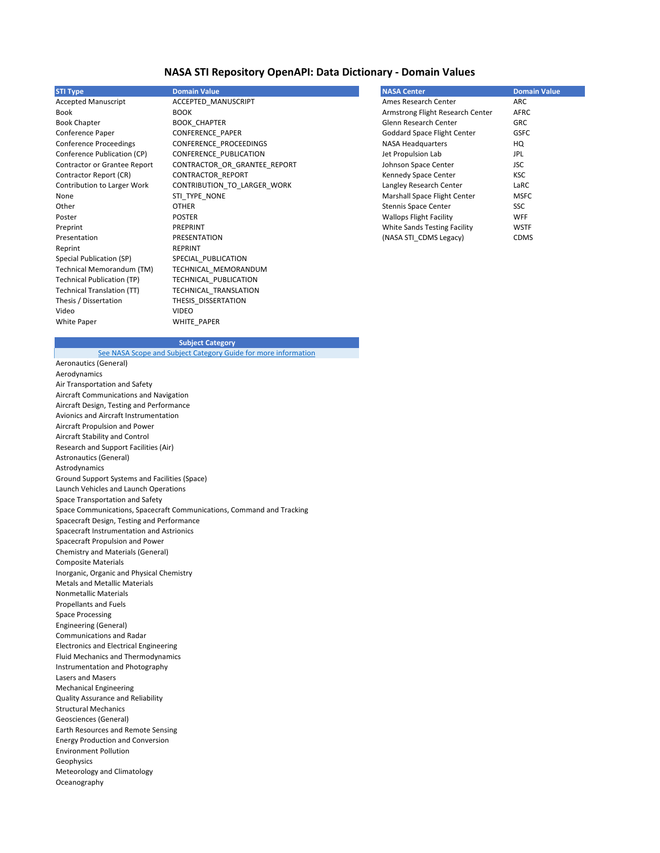| <b>STI Type</b>                   | <b>Domain Value</b>          | <b>NASA Center</b>                 | <b>Domain Value</b> |
|-----------------------------------|------------------------------|------------------------------------|---------------------|
| <b>Accepted Manuscript</b>        | ACCEPTED_MANUSCRIPT          | Ames Research Center               | <b>ARC</b>          |
| Book                              | <b>BOOK</b>                  | Armstrong Flight Research Center   | <b>AFRC</b>         |
| <b>Book Chapter</b>               | <b>BOOK_CHAPTER</b>          | Glenn Research Center              | <b>GRC</b>          |
| Conference Paper                  | CONFERENCE_PAPER             | <b>Goddard Space Flight Center</b> | <b>GSFC</b>         |
| <b>Conference Proceedings</b>     | CONFERENCE_PROCEEDINGS       | <b>NASA Headquarters</b>           | HQ                  |
| Conference Publication (CP)       | CONFERENCE_PUBLICATION       | Jet Propulsion Lab                 | <b>JPL</b>          |
| Contractor or Grantee Report      | CONTRACTOR_OR_GRANTEE_REPORT | Johnson Space Center               | <b>JSC</b>          |
| Contractor Report (CR)            | CONTRACTOR_REPORT            | Kennedy Space Center               | <b>KSC</b>          |
| Contribution to Larger Work       | CONTRIBUTION_TO_LARGER_WORK  | Langley Research Center            | LaRC                |
| None                              | STI_TYPE_NONE                | Marshall Space Flight Center       | <b>MSFC</b>         |
| Other                             | <b>OTHER</b>                 | <b>Stennis Space Center</b>        | SSC                 |
| Poster                            | <b>POSTER</b>                | <b>Wallops Flight Facility</b>     | <b>WFF</b>          |
| Preprint                          | PREPRINT                     | White Sands Testing Facility       | <b>WSTF</b>         |
| Presentation                      | PRESENTATION                 | (NASA STI_CDMS Legacy)             | <b>CDMS</b>         |
| Reprint                           | <b>REPRINT</b>               |                                    |                     |
| Special Publication (SP)          | SPECIAL PUBLICATION          |                                    |                     |
| Technical Memorandum (TM)         | TECHNICAL_MEMORANDUM         |                                    |                     |
| <b>Technical Publication (TP)</b> | TECHNICAL_PUBLICATION        |                                    |                     |
| <b>Technical Translation (TT)</b> | TECHNICAL_TRANSLATION        |                                    |                     |
| Thesis / Dissertation             | THESIS_DISSERTATION          |                                    |                     |
| Video                             | <b>VIDEO</b>                 |                                    |                     |
| White Paper                       | WHITE PAPER                  |                                    |                     |

Aeronautics (General) Aerodynamics Air Transportation and Safety Aircraft Communications and Navigation Aircraft Design, Testing and Performance Avionics and Aircraft Instrumentation Aircraft Propulsion and Power Aircraft Stability and Control Research and Support Facilities (Air) Astronautics (General) Astrodynamics Ground Support Systems and Facilities (Space) Launch Vehicles and Launch Operations Space Transportation and Safety Space Communications, Spacecraft Communications, Command and Tracking Spacecraft Design, Testing and Performance Spacecraft Instrumentation and Astrionics Spacecraft Propulsion and Power Chemistry and Materials (General) Composite Materials Inorganic, Organic and Physical Chemistry Metals and Metallic Materials Nonmetallic Materials Propellants and Fuels Space Processing Engineering (General) Communications and Radar Electronics and Electrical Engineering Fluid Mechanics and Thermodynamics Instrumentation and Photography Lasers and Masers Mechanical Engineering Quality Assurance and Reliability Structural Mechanics Geosciences (General) Earth Resources and Remote Sensing Energy Production and Conversion Environment Pollution Geophysics Meteorology and Climatology Oceanography [See NASA Scope and Subject Category Guide for more information](https://ntrs.nasa.gov/citations/20000025197)

## **Subject Category**

## **NASA STI Repository OpenAPI: Data Dictionary - Domain Values**